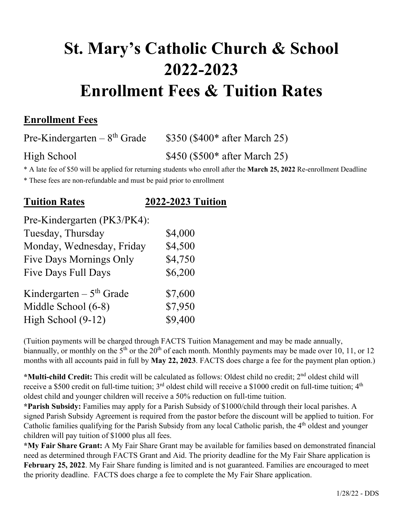# **St. Mary's Catholic Church & School 2022-2023 Enrollment Fees & Tuition Rates**

### **Enrollment Fees**

Pre-Kindergarten –  $8<sup>th</sup>$  Grade  $$350$  (\$400\* after March 25) High School  $$450 ($500*$ after March 25)$ 

\* A late fee of \$50 will be applied for returning students who enroll after the **March 25, 2022** Re-enrollment Deadline \* These fees are non-refundable and must be paid prior to enrollment

### **Tuition Rates 2022-2023 Tuition**

Pre-Kindergarten (PK3/PK4):

| Tuesday, Thursday                     | \$4,000 |
|---------------------------------------|---------|
| Monday, Wednesday, Friday             | \$4,500 |
| Five Days Mornings Only               | \$4,750 |
| <b>Five Days Full Days</b>            | \$6,200 |
| Kindergarten $-5$ <sup>th</sup> Grade | \$7,600 |
| Middle School (6-8)                   | \$7,950 |
| High School (9-12)                    | \$9,400 |

(Tuition payments will be charged through FACTS Tuition Management and may be made annually, biannually, or monthly on the  $5<sup>th</sup>$  or the  $20<sup>th</sup>$  of each month. Monthly payments may be made over 10, 11, or 12 months with all accounts paid in full by **May 22, 2023**. FACTS does charge a fee for the payment plan option.)

\*Multi-child Credit: This credit will be calculated as follows: Oldest child no credit; 2<sup>nd</sup> oldest child will receive a \$500 credit on full-time tuition; 3<sup>rd</sup> oldest child will receive a \$1000 credit on full-time tuition; 4<sup>th</sup> oldest child and younger children will receive a 50% reduction on full-time tuition.

**\*Parish Subsidy:** Families may apply for a Parish Subsidy of \$1000/child through their local parishes. A signed Parish Subsidy Agreement is required from the pastor before the discount will be applied to tuition. For Catholic families qualifying for the Parish Subsidy from any local Catholic parish, the 4th oldest and younger children will pay tuition of \$1000 plus all fees.

**\*My Fair Share Grant:** A My Fair Share Grant may be available for families based on demonstrated financial need as determined through FACTS Grant and Aid. The priority deadline for the My Fair Share application is **February 25, 2022**. My Fair Share funding is limited and is not guaranteed. Families are encouraged to meet the priority deadline. FACTS does charge a fee to complete the My Fair Share application.